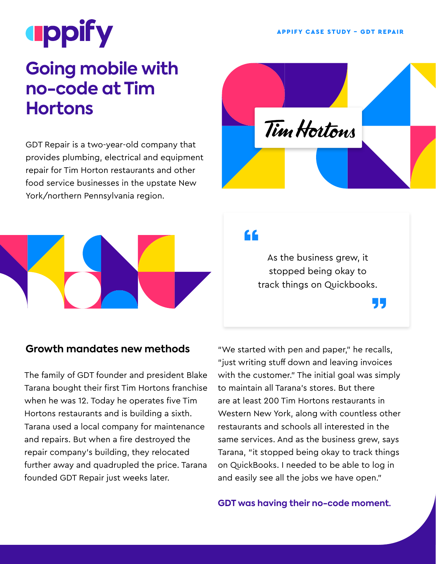# **uppify**

## **Going mobile with no-code at Tim Hortons**

GDT Repair is a two-year-old company that provides plumbing, electrical and equipment repair for Tim Horton restaurants and other food service businesses in the upstate New York/northern Pennsylvania region.





### **Growth mandates new methods**

The family of GDT founder and president Blake Tarana bought their first Tim Hortons franchise when he was 12. Today he operates five Tim Hortons restaurants and is building a sixth. Tarana used a local company for maintenance and repairs. But when a fire destroyed the repair company's building, they relocated further away and quadrupled the price. Tarana founded GDT Repair just weeks later.

"

As the business grew, it stopped being okay to track things on Quickbooks.

55

"We started with pen and paper," he recalls, "just writing stuff down and leaving invoices with the customer." The initial goal was simply to maintain all Tarana's stores. But there are at least 200 Tim Hortons restaurants in Western New York, along with countless other restaurants and schools all interested in the same services. And as the business grew, says Tarana, "it stopped being okay to track things on QuickBooks. I needed to be able to log in and easily see all the jobs we have open."

**GDT was having their no-code moment.**